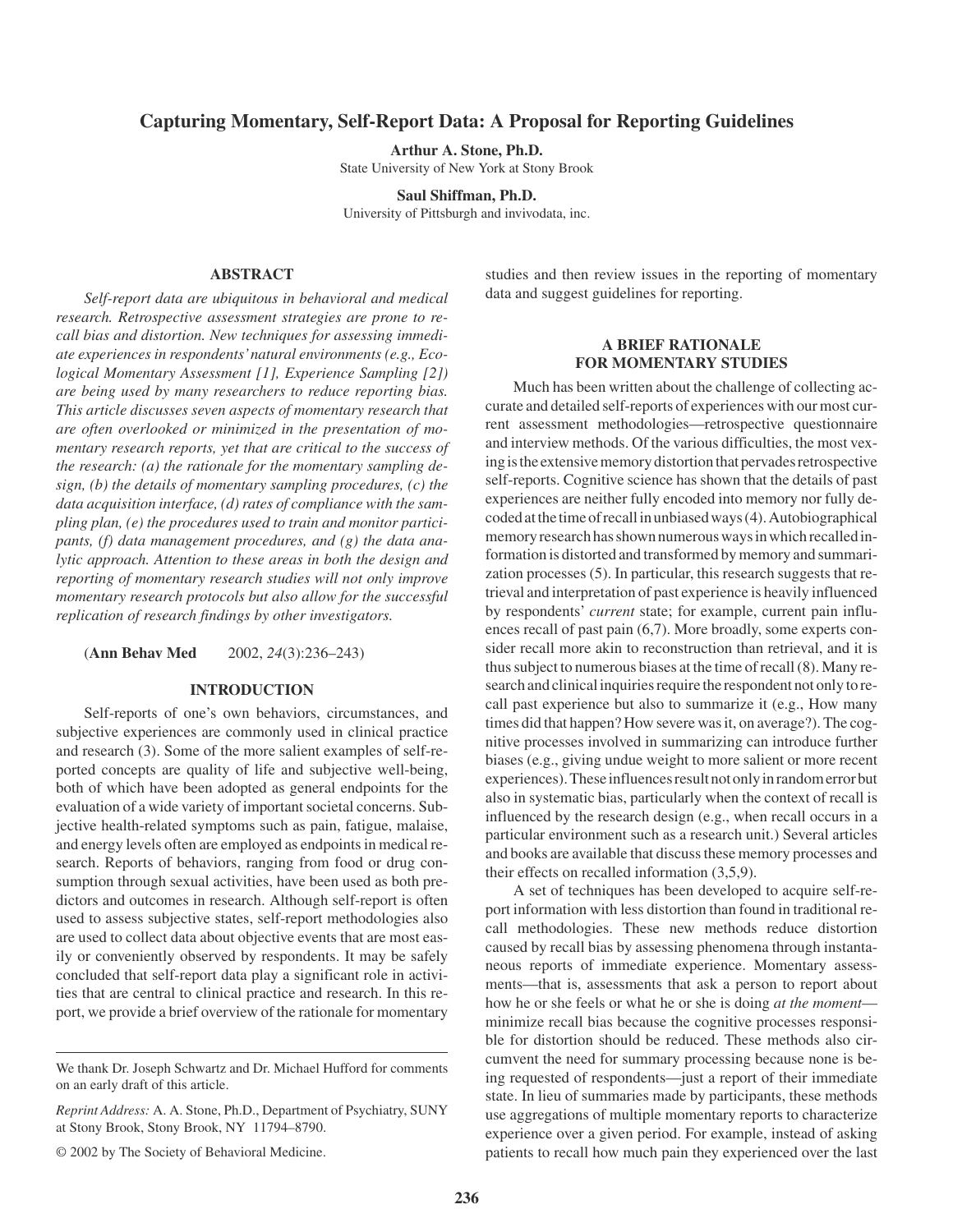# **Capturing Momentary, Self-Report Data: A Proposal for Reporting Guidelines**

**Arthur A. Stone, Ph.D.**

State University of New York at Stony Brook

**Saul Shiffman, Ph.D.** University of Pittsburgh and invivodata, inc.

## **ABSTRACT**

*Self-report data are ubiquitous in behavioral and medical research. Retrospective assessment strategies are prone to recall bias and distortion. New techniques for assessing immediate experiences in respondents'natural environments (e.g., Ecological Momentary Assessment [1], Experience Sampling [2]) are being used by many researchers to reduce reporting bias. This article discusses seven aspects of momentary research that are often overlooked or minimized in the presentation of momentary research reports, yet that are critical to the success of the research: (a) the rationale for the momentary sampling design, (b) the details of momentary sampling procedures, (c) the data acquisition interface, (d) rates of compliance with the sampling plan, (e) the procedures used to train and monitor participants, (f) data management procedures, and (g) the data analytic approach. Attention to these areas in both the design and reporting of momentary research studies will not only improve momentary research protocols but also allow for the successful replication of research findings by other investigators.*

(**Ann Behav Med** 2002, *24*(3):236–243)

### **INTRODUCTION**

Self-reports of one's own behaviors, circumstances, and subjective experiences are commonly used in clinical practice and research (3). Some of the more salient examples of self-reported concepts are quality of life and subjective well-being, both of which have been adopted as general endpoints for the evaluation of a wide variety of important societal concerns. Subjective health-related symptoms such as pain, fatigue, malaise, and energy levels often are employed as endpoints in medical research. Reports of behaviors, ranging from food or drug consumption through sexual activities, have been used as both predictors and outcomes in research. Although self-report is often used to assess subjective states, self-report methodologies also are used to collect data about objective events that are most easily or conveniently observed by respondents. It may be safely concluded that self-report data play a significant role in activities that are central to clinical practice and research. In this report, we provide a brief overview of the rationale for momentary

*Reprint Address:* A. A. Stone, Ph.D., Department of Psychiatry, SUNY at Stony Brook, Stony Brook, NY 11794–8790.

© 2002 by The Society of Behavioral Medicine.

studies and then review issues in the reporting of momentary data and suggest guidelines for reporting.

## **A BRIEF RATIONALE FOR MOMENTARY STUDIES**

Much has been written about the challenge of collecting accurate and detailed self-reports of experiences with our most current assessment methodologies—retrospective questionnaire and interview methods. Of the various difficulties, the most vexing is the extensive memory distortion that pervades retrospective self-reports. Cognitive science has shown that the details of past experiences are neither fully encoded into memory nor fully de- $\cot$  coded at the time of recall in unbiased ways (4). Autobiographical memory research has shown numerous ways in which recalled information is distorted and transformed by memory and summarization processes (5). In particular, this research suggests that retrieval and interpretation of past experience is heavily influenced by respondents' *current* state; for example, current pain influences recall of past pain (6,7). More broadly, some experts consider recall more akin to reconstruction than retrieval, and it is thus subject to numerous biases at the time of recall (8). Many research and clinical inquiries require the respondent not only to recall past experience but also to summarize it (e.g., How many times did that happen? How severe was it, on average?). The cognitive processes involved in summarizing can introduce further biases (e.g., giving undue weight to more salient or more recent experiences). These influences result not only in random error but also in systematic bias, particularly when the context of recall is influenced by the research design (e.g., when recall occurs in a particular environment such as a research unit.) Several articles and books are available that discuss these memory processes and their effects on recalled information (3,5,9).

A set of techniques has been developed to acquire self-report information with less distortion than found in traditional recall methodologies. These new methods reduce distortion caused by recall bias by assessing phenomena through instantaneous reports of immediate experience. Momentary assessments—that is, assessments that ask a person to report about how he or she feels or what he or she is doing *at the moment* minimize recall bias because the cognitive processes responsible for distortion should be reduced. These methods also circumvent the need for summary processing because none is being requested of respondents—just a report of their immediate state. In lieu of summaries made by participants, these methods use aggregations of multiple momentary reports to characterize experience over a given period. For example, instead of asking patients to recall how much pain they experienced over the last

We thank Dr. Joseph Schwartz and Dr. Michael Hufford for comments on an early draft of this article.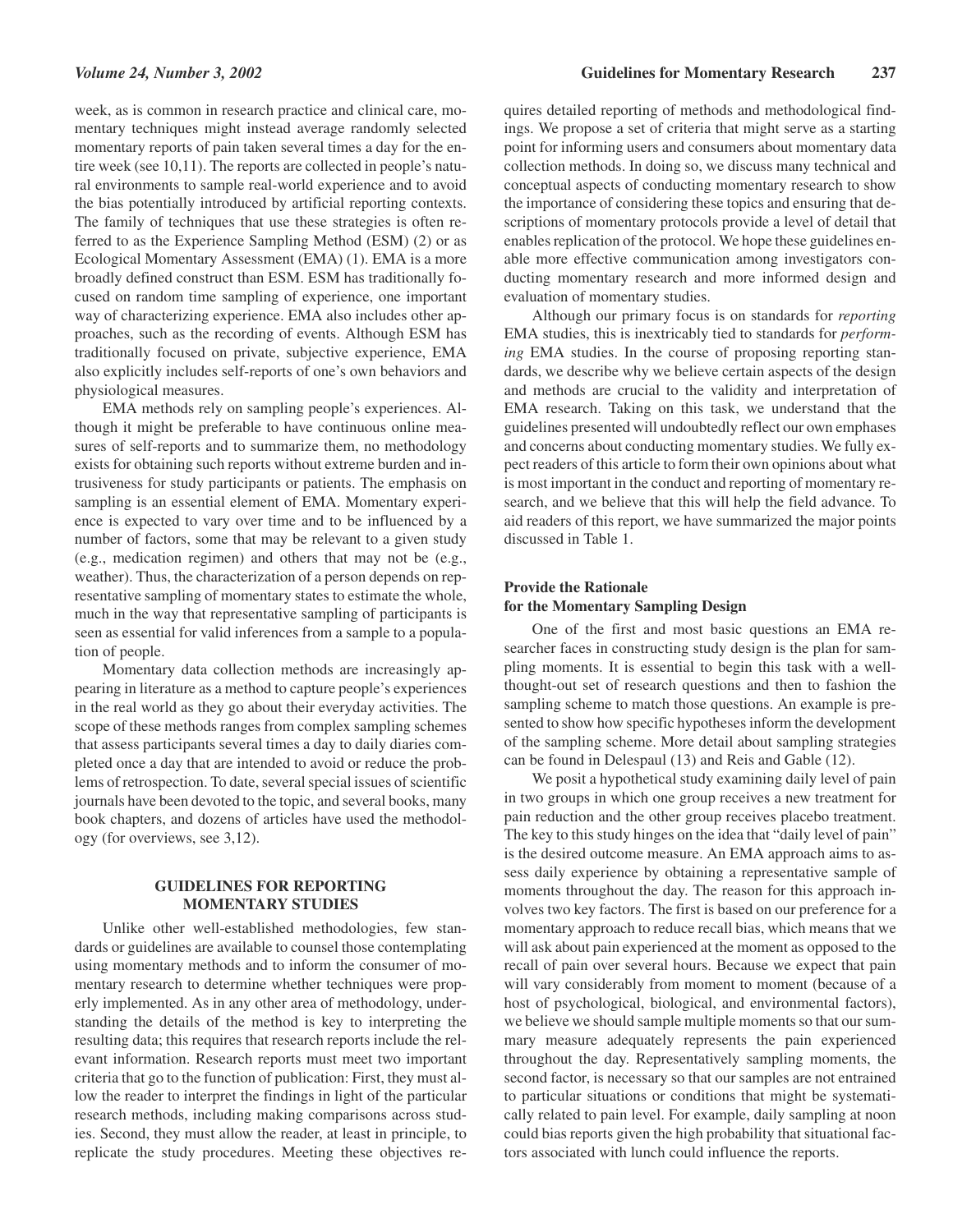*Volume 24, Number 3, 2002* **Guidelines for Momentary Research 237**

week, as is common in research practice and clinical care, momentary techniques might instead average randomly selected momentary reports of pain taken several times a day for the entire week (see 10,11). The reports are collected in people's natural environments to sample real-world experience and to avoid the bias potentially introduced by artificial reporting contexts. The family of techniques that use these strategies is often referred to as the Experience Sampling Method (ESM) (2) or as Ecological Momentary Assessment (EMA) (1). EMA is a more broadly defined construct than ESM. ESM has traditionally focused on random time sampling of experience, one important way of characterizing experience. EMA also includes other approaches, such as the recording of events. Although ESM has traditionally focused on private, subjective experience, EMA also explicitly includes self-reports of one's own behaviors and physiological measures.

EMA methods rely on sampling people's experiences. Although it might be preferable to have continuous online measures of self-reports and to summarize them, no methodology exists for obtaining such reports without extreme burden and intrusiveness for study participants or patients. The emphasis on sampling is an essential element of EMA. Momentary experience is expected to vary over time and to be influenced by a number of factors, some that may be relevant to a given study (e.g., medication regimen) and others that may not be (e.g., weather). Thus, the characterization of a person depends on representative sampling of momentary states to estimate the whole, much in the way that representative sampling of participants is seen as essential for valid inferences from a sample to a population of people.

Momentary data collection methods are increasingly appearing in literature as a method to capture people's experiences in the real world as they go about their everyday activities. The scope of these methods ranges from complex sampling schemes that assess participants several times a day to daily diaries completed once a day that are intended to avoid or reduce the problems of retrospection. To date, several special issues of scientific journals have been devoted to the topic, and several books, many book chapters, and dozens of articles have used the methodology (for overviews, see 3,12).

# **GUIDELINES FOR REPORTING MOMENTARY STUDIES**

Unlike other well-established methodologies, few standards or guidelines are available to counsel those contemplating using momentary methods and to inform the consumer of momentary research to determine whether techniques were properly implemented. As in any other area of methodology, understanding the details of the method is key to interpreting the resulting data; this requires that research reports include the relevant information. Research reports must meet two important criteria that go to the function of publication: First, they must allow the reader to interpret the findings in light of the particular research methods, including making comparisons across studies. Second, they must allow the reader, at least in principle, to replicate the study procedures. Meeting these objectives requires detailed reporting of methods and methodological findings. We propose a set of criteria that might serve as a starting point for informing users and consumers about momentary data collection methods. In doing so, we discuss many technical and conceptual aspects of conducting momentary research to show the importance of considering these topics and ensuring that descriptions of momentary protocols provide a level of detail that enables replication of the protocol. We hope these guidelines enable more effective communication among investigators conducting momentary research and more informed design and evaluation of momentary studies.

Although our primary focus is on standards for *reporting* EMA studies, this is inextricably tied to standards for *performing* EMA studies. In the course of proposing reporting standards, we describe why we believe certain aspects of the design and methods are crucial to the validity and interpretation of EMA research. Taking on this task, we understand that the guidelines presented will undoubtedly reflect our own emphases and concerns about conducting momentary studies. We fully expect readers of this article to form their own opinions about what is most important in the conduct and reporting of momentary research, and we believe that this will help the field advance. To aid readers of this report, we have summarized the major points discussed in Table 1.

# **Provide the Rationale for the Momentary Sampling Design**

One of the first and most basic questions an EMA researcher faces in constructing study design is the plan for sampling moments. It is essential to begin this task with a wellthought-out set of research questions and then to fashion the sampling scheme to match those questions. An example is presented to show how specific hypotheses inform the development of the sampling scheme. More detail about sampling strategies can be found in Delespaul (13) and Reis and Gable (12).

We posit a hypothetical study examining daily level of pain in two groups in which one group receives a new treatment for pain reduction and the other group receives placebo treatment. The key to this study hinges on the idea that "daily level of pain" is the desired outcome measure. An EMA approach aims to assess daily experience by obtaining a representative sample of moments throughout the day. The reason for this approach involves two key factors. The first is based on our preference for a momentary approach to reduce recall bias, which means that we will ask about pain experienced at the moment as opposed to the recall of pain over several hours. Because we expect that pain will vary considerably from moment to moment (because of a host of psychological, biological, and environmental factors), we believe we should sample multiple moments so that our summary measure adequately represents the pain experienced throughout the day. Representatively sampling moments, the second factor, is necessary so that our samples are not entrained to particular situations or conditions that might be systematically related to pain level. For example, daily sampling at noon could bias reports given the high probability that situational factors associated with lunch could influence the reports.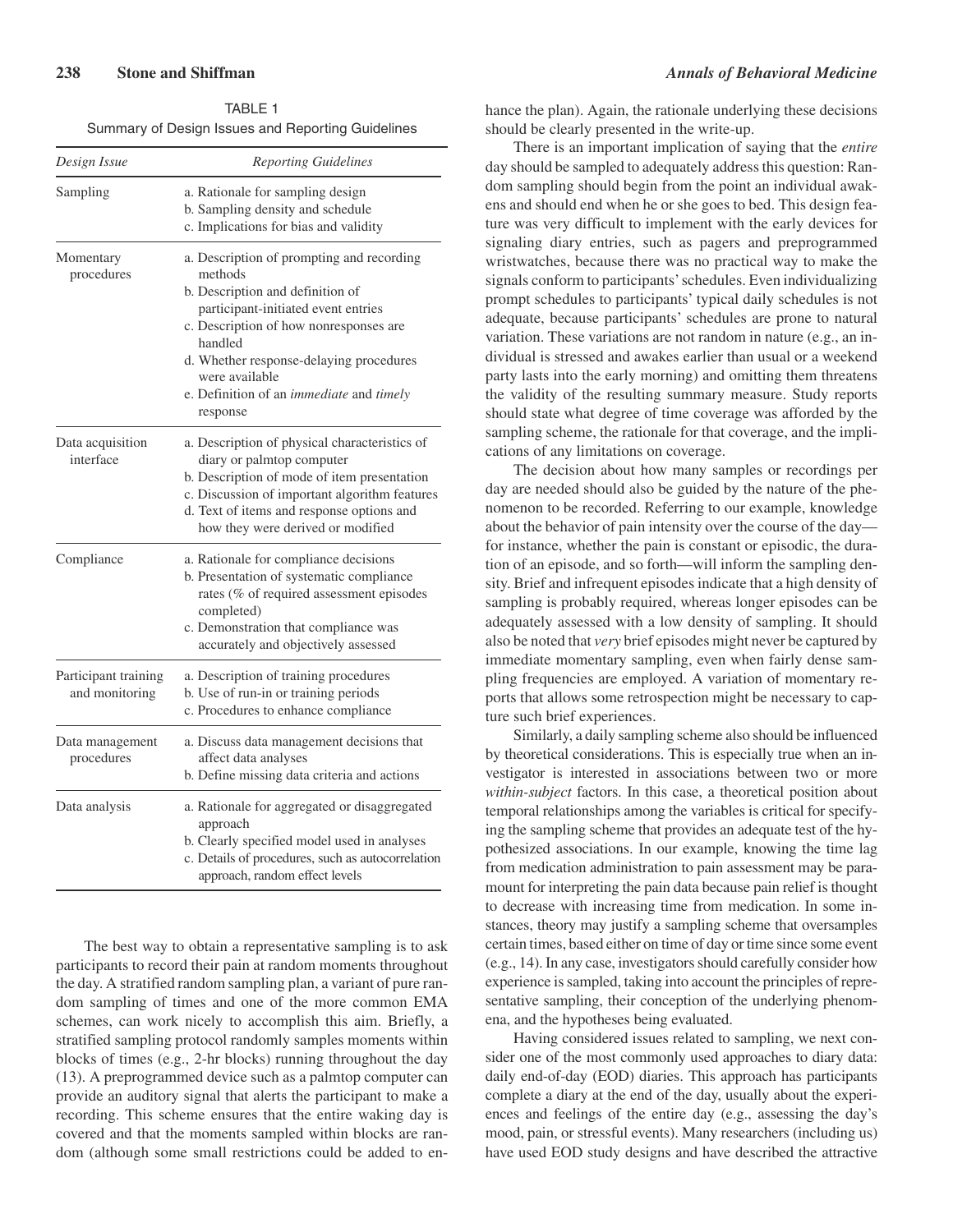| TABLE 1                                           |
|---------------------------------------------------|
| Summary of Design Issues and Reporting Guidelines |

| Design Issue                           | <b>Reporting Guidelines</b>                                                                                                                                                                                                                                                                               |
|----------------------------------------|-----------------------------------------------------------------------------------------------------------------------------------------------------------------------------------------------------------------------------------------------------------------------------------------------------------|
| Sampling                               | a. Rationale for sampling design<br>b. Sampling density and schedule<br>c. Implications for bias and validity                                                                                                                                                                                             |
| Momentary<br>procedures                | a. Description of prompting and recording<br>methods<br>b. Description and definition of<br>participant-initiated event entries<br>c. Description of how nonresponses are<br>handled<br>d. Whether response-delaying procedures<br>were available<br>e. Definition of an immediate and timely<br>response |
| Data acquisition<br>interface          | a. Description of physical characteristics of<br>diary or palmtop computer<br>b. Description of mode of item presentation<br>c. Discussion of important algorithm features<br>d. Text of items and response options and<br>how they were derived or modified                                              |
| Compliance                             | a. Rationale for compliance decisions<br>b. Presentation of systematic compliance<br>rates (% of required assessment episodes<br>completed)<br>c. Demonstration that compliance was<br>accurately and objectively assessed                                                                                |
| Participant training<br>and monitoring | a. Description of training procedures<br>b. Use of run-in or training periods<br>c. Procedures to enhance compliance                                                                                                                                                                                      |
| Data management<br>procedures          | a. Discuss data management decisions that<br>affect data analyses<br>b. Define missing data criteria and actions                                                                                                                                                                                          |
| Data analysis                          | a. Rationale for aggregated or disaggregated<br>approach<br>b. Clearly specified model used in analyses<br>c. Details of procedures, such as autocorrelation<br>approach, random effect levels                                                                                                            |

The best way to obtain a representative sampling is to ask participants to record their pain at random moments throughout the day. A stratified random sampling plan, a variant of pure random sampling of times and one of the more common EMA schemes, can work nicely to accomplish this aim. Briefly, a stratified sampling protocol randomly samples moments within blocks of times (e.g., 2-hr blocks) running throughout the day (13). A preprogrammed device such as a palmtop computer can provide an auditory signal that alerts the participant to make a recording. This scheme ensures that the entire waking day is covered and that the moments sampled within blocks are random (although some small restrictions could be added to enhance the plan). Again, the rationale underlying these decisions should be clearly presented in the write-up.

There is an important implication of saying that the *entire* day should be sampled to adequately address this question: Random sampling should begin from the point an individual awakens and should end when he or she goes to bed. This design feature was very difficult to implement with the early devices for signaling diary entries, such as pagers and preprogrammed wristwatches, because there was no practical way to make the signals conform to participants'schedules. Even individualizing prompt schedules to participants' typical daily schedules is not adequate, because participants' schedules are prone to natural variation. These variations are not random in nature (e.g., an individual is stressed and awakes earlier than usual or a weekend party lasts into the early morning) and omitting them threatens the validity of the resulting summary measure. Study reports should state what degree of time coverage was afforded by the sampling scheme, the rationale for that coverage, and the implications of any limitations on coverage.

The decision about how many samples or recordings per day are needed should also be guided by the nature of the phenomenon to be recorded. Referring to our example, knowledge about the behavior of pain intensity over the course of the day for instance, whether the pain is constant or episodic, the duration of an episode, and so forth—will inform the sampling density. Brief and infrequent episodes indicate that a high density of sampling is probably required, whereas longer episodes can be adequately assessed with a low density of sampling. It should also be noted that *very* brief episodes might never be captured by immediate momentary sampling, even when fairly dense sampling frequencies are employed. A variation of momentary reports that allows some retrospection might be necessary to capture such brief experiences.

Similarly, a daily sampling scheme also should be influenced by theoretical considerations. This is especially true when an investigator is interested in associations between two or more *within-subject* factors. In this case, a theoretical position about temporal relationships among the variables is critical for specifying the sampling scheme that provides an adequate test of the hypothesized associations. In our example, knowing the time lag from medication administration to pain assessment may be paramount for interpreting the pain data because pain relief is thought to decrease with increasing time from medication. In some instances, theory may justify a sampling scheme that oversamples certain times, based either on time of day or time since some event (e.g., 14). In any case, investigators should carefully consider how experience is sampled, taking into account the principles of representative sampling, their conception of the underlying phenomena, and the hypotheses being evaluated.

Having considered issues related to sampling, we next consider one of the most commonly used approaches to diary data: daily end-of-day (EOD) diaries. This approach has participants complete a diary at the end of the day, usually about the experiences and feelings of the entire day (e.g., assessing the day's mood, pain, or stressful events). Many researchers (including us) have used EOD study designs and have described the attractive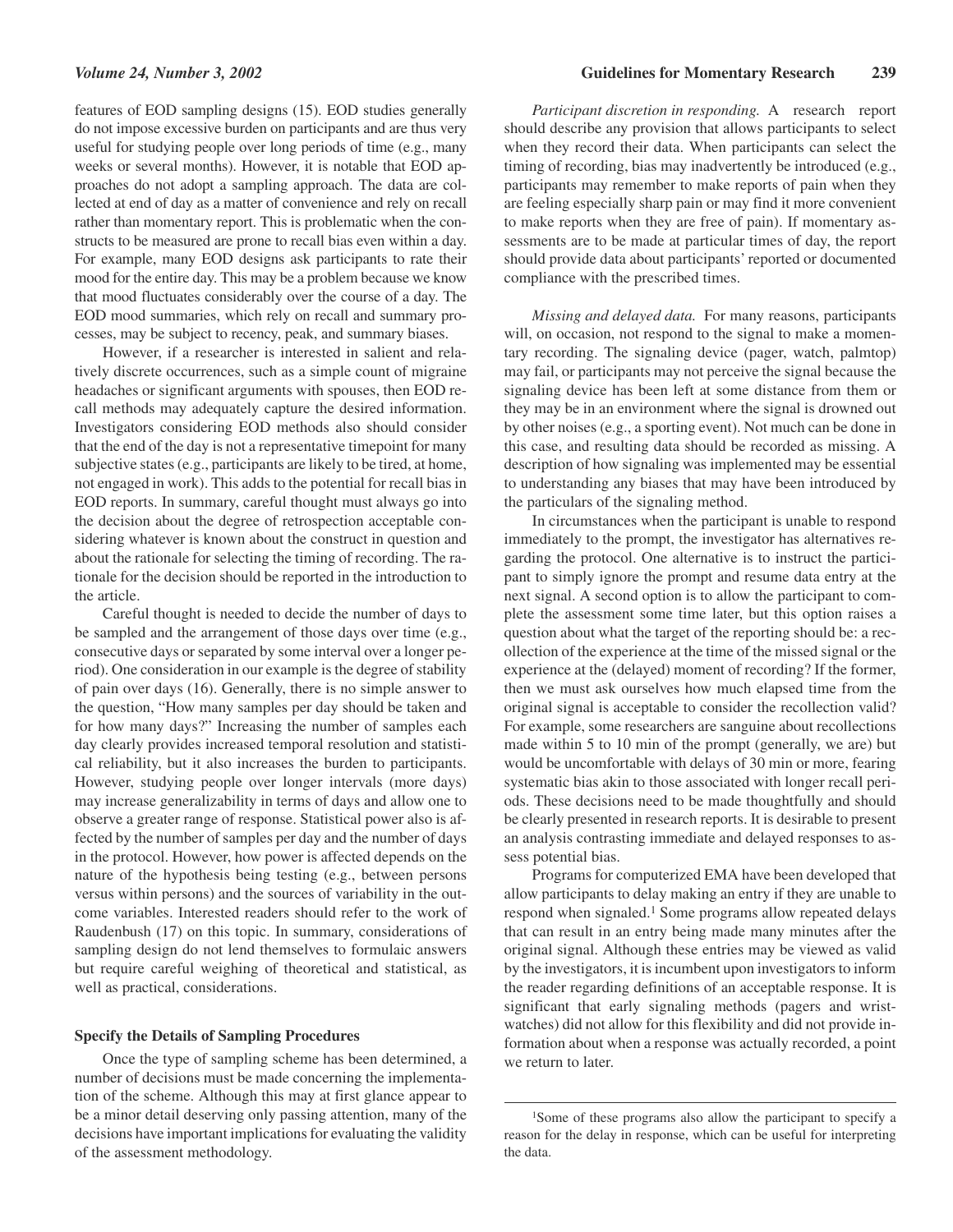features of EOD sampling designs (15). EOD studies generally do not impose excessive burden on participants and are thus very useful for studying people over long periods of time (e.g., many weeks or several months). However, it is notable that EOD approaches do not adopt a sampling approach. The data are collected at end of day as a matter of convenience and rely on recall rather than momentary report. This is problematic when the constructs to be measured are prone to recall bias even within a day. For example, many EOD designs ask participants to rate their mood for the entire day. This may be a problem because we know that mood fluctuates considerably over the course of a day. The EOD mood summaries, which rely on recall and summary processes, may be subject to recency, peak, and summary biases.

However, if a researcher is interested in salient and relatively discrete occurrences, such as a simple count of migraine headaches or significant arguments with spouses, then EOD recall methods may adequately capture the desired information. Investigators considering EOD methods also should consider that the end of the day is not a representative timepoint for many subjective states (e.g., participants are likely to be tired, at home, not engaged in work). This adds to the potential for recall bias in EOD reports. In summary, careful thought must always go into the decision about the degree of retrospection acceptable considering whatever is known about the construct in question and about the rationale for selecting the timing of recording. The rationale for the decision should be reported in the introduction to the article.

Careful thought is needed to decide the number of days to be sampled and the arrangement of those days over time (e.g., consecutive days or separated by some interval over a longer period). One consideration in our example is the degree of stability of pain over days (16). Generally, there is no simple answer to the question, "How many samples per day should be taken and for how many days?" Increasing the number of samples each day clearly provides increased temporal resolution and statistical reliability, but it also increases the burden to participants. However, studying people over longer intervals (more days) may increase generalizability in terms of days and allow one to observe a greater range of response. Statistical power also is affected by the number of samples per day and the number of days in the protocol. However, how power is affected depends on the nature of the hypothesis being testing (e.g., between persons versus within persons) and the sources of variability in the outcome variables. Interested readers should refer to the work of Raudenbush (17) on this topic. In summary, considerations of sampling design do not lend themselves to formulaic answers but require careful weighing of theoretical and statistical, as well as practical, considerations.

### **Specify the Details of Sampling Procedures**

Once the type of sampling scheme has been determined, a number of decisions must be made concerning the implementation of the scheme. Although this may at first glance appear to be a minor detail deserving only passing attention, many of the decisions have important implications for evaluating the validity of the assessment methodology.

*Participant discretion in responding.* A research report should describe any provision that allows participants to select when they record their data. When participants can select the timing of recording, bias may inadvertently be introduced (e.g., participants may remember to make reports of pain when they are feeling especially sharp pain or may find it more convenient to make reports when they are free of pain). If momentary assessments are to be made at particular times of day, the report should provide data about participants' reported or documented compliance with the prescribed times.

*Missing and delayed data.* For many reasons, participants will, on occasion, not respond to the signal to make a momentary recording. The signaling device (pager, watch, palmtop) may fail, or participants may not perceive the signal because the signaling device has been left at some distance from them or they may be in an environment where the signal is drowned out by other noises (e.g., a sporting event). Not much can be done in this case, and resulting data should be recorded as missing. A description of how signaling was implemented may be essential to understanding any biases that may have been introduced by the particulars of the signaling method.

In circumstances when the participant is unable to respond immediately to the prompt, the investigator has alternatives regarding the protocol. One alternative is to instruct the participant to simply ignore the prompt and resume data entry at the next signal. A second option is to allow the participant to complete the assessment some time later, but this option raises a question about what the target of the reporting should be: a recollection of the experience at the time of the missed signal or the experience at the (delayed) moment of recording? If the former, then we must ask ourselves how much elapsed time from the original signal is acceptable to consider the recollection valid? For example, some researchers are sanguine about recollections made within 5 to 10 min of the prompt (generally, we are) but would be uncomfortable with delays of 30 min or more, fearing systematic bias akin to those associated with longer recall periods. These decisions need to be made thoughtfully and should be clearly presented in research reports. It is desirable to present an analysis contrasting immediate and delayed responses to assess potential bias.

Programs for computerized EMA have been developed that allow participants to delay making an entry if they are unable to respond when signaled.1 Some programs allow repeated delays that can result in an entry being made many minutes after the original signal. Although these entries may be viewed as valid by the investigators, it is incumbent upon investigators to inform the reader regarding definitions of an acceptable response. It is significant that early signaling methods (pagers and wristwatches) did not allow for this flexibility and did not provide information about when a response was actually recorded, a point we return to later.

<sup>1</sup>Some of these programs also allow the participant to specify a reason for the delay in response, which can be useful for interpreting the data.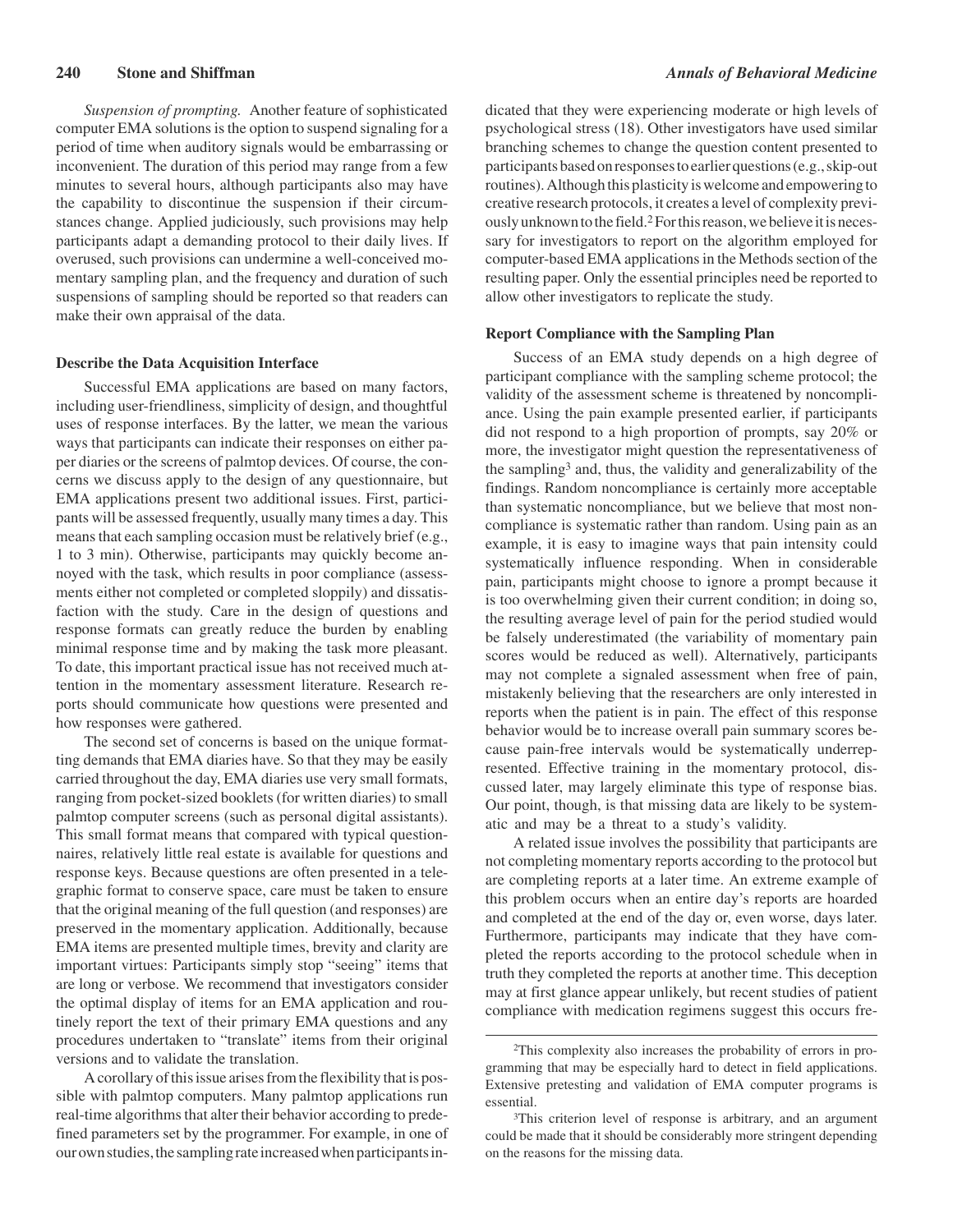*Suspension of prompting.* Another feature of sophisticated computer EMA solutions is the option to suspend signaling for a period of time when auditory signals would be embarrassing or inconvenient. The duration of this period may range from a few minutes to several hours, although participants also may have the capability to discontinue the suspension if their circumstances change. Applied judiciously, such provisions may help participants adapt a demanding protocol to their daily lives. If overused, such provisions can undermine a well-conceived momentary sampling plan, and the frequency and duration of such suspensions of sampling should be reported so that readers can make their own appraisal of the data.

#### **Describe the Data Acquisition Interface**

Successful EMA applications are based on many factors, including user-friendliness, simplicity of design, and thoughtful uses of response interfaces. By the latter, we mean the various ways that participants can indicate their responses on either paper diaries or the screens of palmtop devices. Of course, the concerns we discuss apply to the design of any questionnaire, but EMA applications present two additional issues. First, participants will be assessed frequently, usually many times a day. This means that each sampling occasion must be relatively brief (e.g., 1 to 3 min). Otherwise, participants may quickly become annoyed with the task, which results in poor compliance (assessments either not completed or completed sloppily) and dissatisfaction with the study. Care in the design of questions and response formats can greatly reduce the burden by enabling minimal response time and by making the task more pleasant. To date, this important practical issue has not received much attention in the momentary assessment literature. Research reports should communicate how questions were presented and how responses were gathered.

The second set of concerns is based on the unique formatting demands that EMA diaries have. So that they may be easily carried throughout the day, EMA diaries use very small formats, ranging from pocket-sized booklets (for written diaries) to small palmtop computer screens (such as personal digital assistants). This small format means that compared with typical questionnaires, relatively little real estate is available for questions and response keys. Because questions are often presented in a telegraphic format to conserve space, care must be taken to ensure that the original meaning of the full question (and responses) are preserved in the momentary application. Additionally, because EMA items are presented multiple times, brevity and clarity are important virtues: Participants simply stop "seeing" items that are long or verbose. We recommend that investigators consider the optimal display of items for an EMA application and routinely report the text of their primary EMA questions and any procedures undertaken to "translate" items from their original versions and to validate the translation.

A corollary of this issue arises from the flexibility that is possible with palmtop computers. Many palmtop applications run real-time algorithms that alter their behavior according to predefined parameters set by the programmer. For example, in one of our own studies, the sampling rate increased when participants in-

dicated that they were experiencing moderate or high levels of psychological stress (18). Other investigators have used similar branching schemes to change the question content presented to participantsbasedonresponsestoearlierquestions(e.g.,skip-out routines). Although this plasticity is welcome and empowering to creative research protocols, it creates a level of complexity previously unknown to the field.<sup>2</sup> For this reason, we believe it is necessary for investigators to report on the algorithm employed for computer-based EMA applications in the Methods section of the resulting paper. Only the essential principles need be reported to allow other investigators to replicate the study.

#### **Report Compliance with the Sampling Plan**

Success of an EMA study depends on a high degree of participant compliance with the sampling scheme protocol; the validity of the assessment scheme is threatened by noncompliance. Using the pain example presented earlier, if participants did not respond to a high proportion of prompts, say 20% or more, the investigator might question the representativeness of the sampling3 and, thus, the validity and generalizability of the findings. Random noncompliance is certainly more acceptable than systematic noncompliance, but we believe that most noncompliance is systematic rather than random. Using pain as an example, it is easy to imagine ways that pain intensity could systematically influence responding. When in considerable pain, participants might choose to ignore a prompt because it is too overwhelming given their current condition; in doing so, the resulting average level of pain for the period studied would be falsely underestimated (the variability of momentary pain scores would be reduced as well). Alternatively, participants may not complete a signaled assessment when free of pain, mistakenly believing that the researchers are only interested in reports when the patient is in pain. The effect of this response behavior would be to increase overall pain summary scores because pain-free intervals would be systematically underrepresented. Effective training in the momentary protocol, discussed later, may largely eliminate this type of response bias. Our point, though, is that missing data are likely to be systematic and may be a threat to a study's validity.

A related issue involves the possibility that participants are not completing momentary reports according to the protocol but are completing reports at a later time. An extreme example of this problem occurs when an entire day's reports are hoarded and completed at the end of the day or, even worse, days later. Furthermore, participants may indicate that they have completed the reports according to the protocol schedule when in truth they completed the reports at another time. This deception may at first glance appear unlikely, but recent studies of patient compliance with medication regimens suggest this occurs fre-

<sup>2</sup>This complexity also increases the probability of errors in programming that may be especially hard to detect in field applications. Extensive pretesting and validation of EMA computer programs is essential.

<sup>3</sup>This criterion level of response is arbitrary, and an argument could be made that it should be considerably more stringent depending on the reasons for the missing data.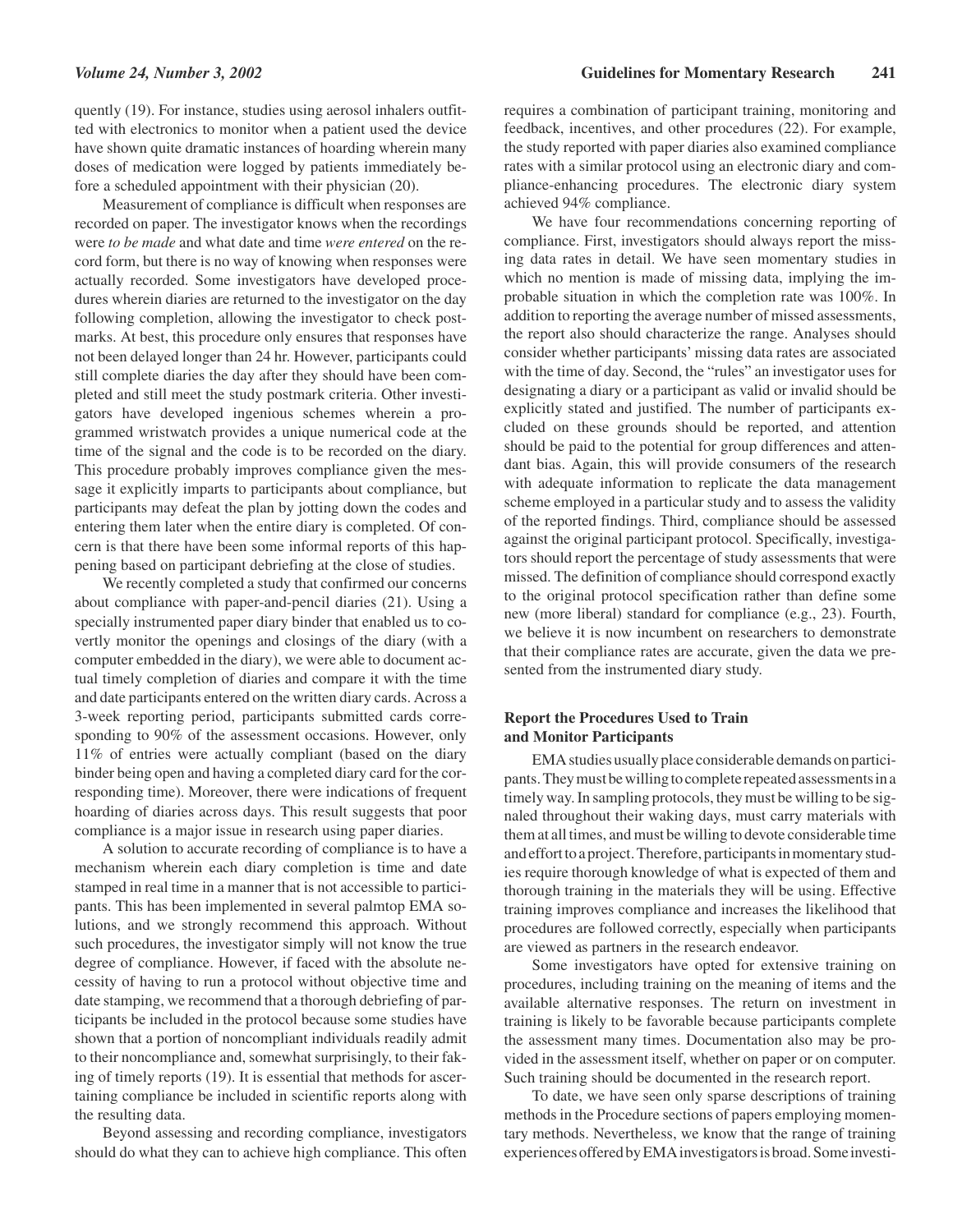quently (19). For instance, studies using aerosol inhalers outfitted with electronics to monitor when a patient used the device have shown quite dramatic instances of hoarding wherein many doses of medication were logged by patients immediately before a scheduled appointment with their physician (20).

Measurement of compliance is difficult when responses are recorded on paper. The investigator knows when the recordings were *to be made* and what date and time *were entered* on the record form, but there is no way of knowing when responses were actually recorded. Some investigators have developed procedures wherein diaries are returned to the investigator on the day following completion, allowing the investigator to check postmarks. At best, this procedure only ensures that responses have not been delayed longer than 24 hr. However, participants could still complete diaries the day after they should have been completed and still meet the study postmark criteria. Other investigators have developed ingenious schemes wherein a programmed wristwatch provides a unique numerical code at the time of the signal and the code is to be recorded on the diary. This procedure probably improves compliance given the message it explicitly imparts to participants about compliance, but participants may defeat the plan by jotting down the codes and entering them later when the entire diary is completed. Of concern is that there have been some informal reports of this happening based on participant debriefing at the close of studies.

We recently completed a study that confirmed our concerns about compliance with paper-and-pencil diaries (21). Using a specially instrumented paper diary binder that enabled us to covertly monitor the openings and closings of the diary (with a computer embedded in the diary), we were able to document actual timely completion of diaries and compare it with the time and date participants entered on the written diary cards. Across a 3-week reporting period, participants submitted cards corresponding to 90% of the assessment occasions. However, only 11% of entries were actually compliant (based on the diary binder being open and having a completed diary card for the corresponding time). Moreover, there were indications of frequent hoarding of diaries across days. This result suggests that poor compliance is a major issue in research using paper diaries.

A solution to accurate recording of compliance is to have a mechanism wherein each diary completion is time and date stamped in real time in a manner that is not accessible to participants. This has been implemented in several palmtop EMA solutions, and we strongly recommend this approach. Without such procedures, the investigator simply will not know the true degree of compliance. However, if faced with the absolute necessity of having to run a protocol without objective time and date stamping, we recommend that a thorough debriefing of participants be included in the protocol because some studies have shown that a portion of noncompliant individuals readily admit to their noncompliance and, somewhat surprisingly, to their faking of timely reports (19). It is essential that methods for ascertaining compliance be included in scientific reports along with the resulting data.

Beyond assessing and recording compliance, investigators should do what they can to achieve high compliance. This often

requires a combination of participant training, monitoring and feedback, incentives, and other procedures (22). For example, the study reported with paper diaries also examined compliance rates with a similar protocol using an electronic diary and compliance-enhancing procedures. The electronic diary system achieved 94% compliance.

We have four recommendations concerning reporting of compliance. First, investigators should always report the missing data rates in detail. We have seen momentary studies in which no mention is made of missing data, implying the improbable situation in which the completion rate was 100%. In addition to reporting the average number of missed assessments, the report also should characterize the range. Analyses should consider whether participants' missing data rates are associated with the time of day. Second, the "rules" an investigator uses for designating a diary or a participant as valid or invalid should be explicitly stated and justified. The number of participants excluded on these grounds should be reported, and attention should be paid to the potential for group differences and attendant bias. Again, this will provide consumers of the research with adequate information to replicate the data management scheme employed in a particular study and to assess the validity of the reported findings. Third, compliance should be assessed against the original participant protocol. Specifically, investigators should report the percentage of study assessments that were missed. The definition of compliance should correspond exactly to the original protocol specification rather than define some new (more liberal) standard for compliance (e.g., 23). Fourth, we believe it is now incumbent on researchers to demonstrate that their compliance rates are accurate, given the data we presented from the instrumented diary study.

# **Report the Procedures Used to Train and Monitor Participants**

EMA studies usually place considerable demands on participants. They must be willing to complete repeated assessments in a timely way. In sampling protocols, they must be willing to be signaled throughout their waking days, must carry materials with them at all times, and must be willing to devote considerable time and effort to a project. Therefore, participants in momentary studies require thorough knowledge of what is expected of them and thorough training in the materials they will be using. Effective training improves compliance and increases the likelihood that procedures are followed correctly, especially when participants are viewed as partners in the research endeavor.

Some investigators have opted for extensive training on procedures, including training on the meaning of items and the available alternative responses. The return on investment in training is likely to be favorable because participants complete the assessment many times. Documentation also may be provided in the assessment itself, whether on paper or on computer. Such training should be documented in the research report.

To date, we have seen only sparse descriptions of training methods in the Procedure sections of papers employing momentary methods. Nevertheless, we know that the range of training experiencesofferedbyEMAinvestigatorsisbroad.Someinvesti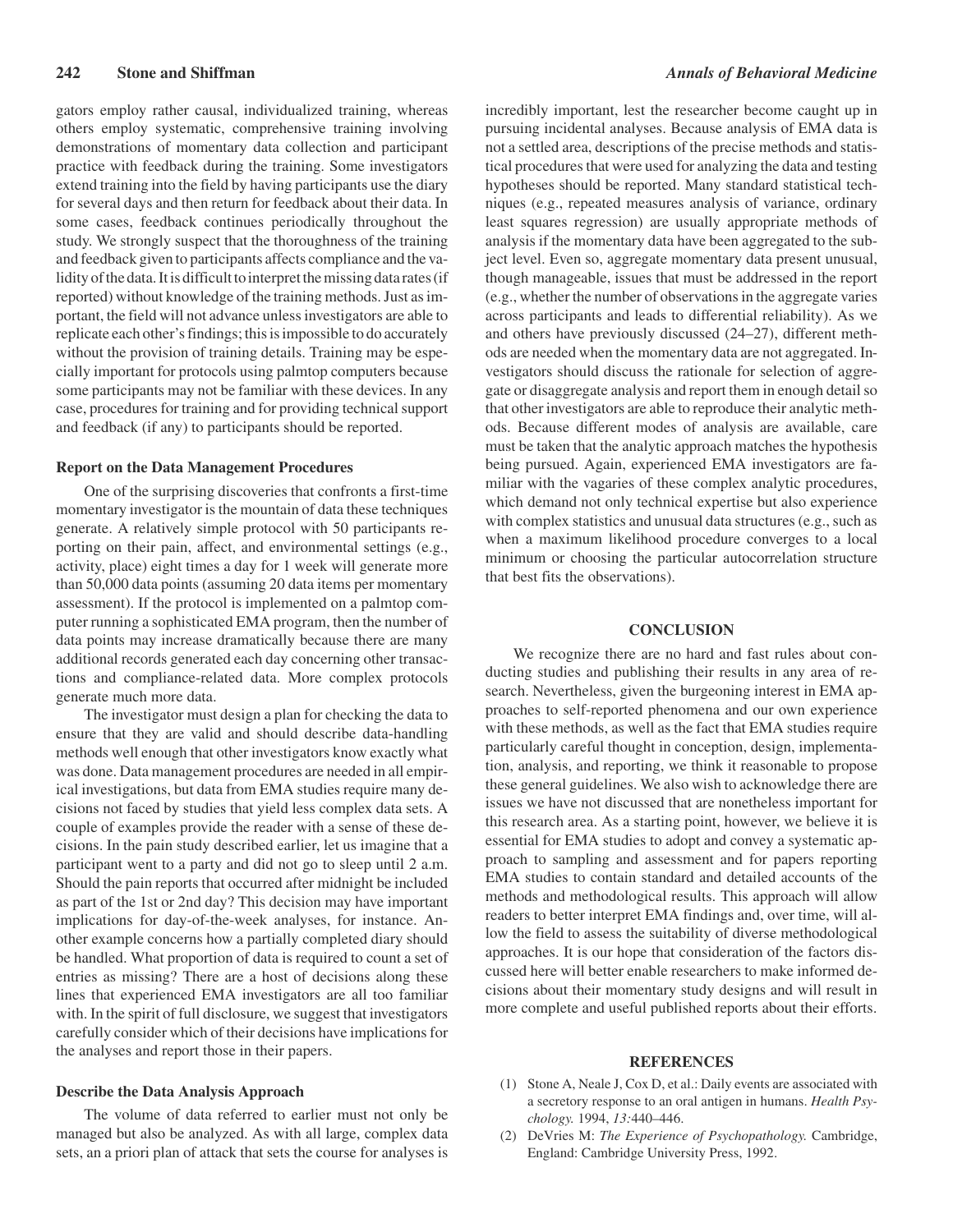gators employ rather causal, individualized training, whereas others employ systematic, comprehensive training involving demonstrations of momentary data collection and participant practice with feedback during the training. Some investigators extend training into the field by having participants use the diary for several days and then return for feedback about their data. In some cases, feedback continues periodically throughout the study. We strongly suspect that the thoroughness of the training and feedback given to participants affects compliance and the validity of the data. It is difficult to interpret the missing data rates (if reported) without knowledge of the training methods. Just as important, the field will not advance unless investigators are able to replicate each other's findings; this is impossible to do accurately without the provision of training details. Training may be especially important for protocols using palmtop computers because some participants may not be familiar with these devices. In any case, procedures for training and for providing technical support and feedback (if any) to participants should be reported.

#### **Report on the Data Management Procedures**

One of the surprising discoveries that confronts a first-time momentary investigator is the mountain of data these techniques generate. A relatively simple protocol with 50 participants reporting on their pain, affect, and environmental settings (e.g., activity, place) eight times a day for 1 week will generate more than 50,000 data points (assuming 20 data items per momentary assessment). If the protocol is implemented on a palmtop computer running a sophisticated EMA program, then the number of data points may increase dramatically because there are many additional records generated each day concerning other transactions and compliance-related data. More complex protocols generate much more data.

The investigator must design a plan for checking the data to ensure that they are valid and should describe data-handling methods well enough that other investigators know exactly what was done. Data management procedures are needed in all empirical investigations, but data from EMA studies require many decisions not faced by studies that yield less complex data sets. A couple of examples provide the reader with a sense of these decisions. In the pain study described earlier, let us imagine that a participant went to a party and did not go to sleep until 2 a.m. Should the pain reports that occurred after midnight be included as part of the 1st or 2nd day? This decision may have important implications for day-of-the-week analyses, for instance. Another example concerns how a partially completed diary should be handled. What proportion of data is required to count a set of entries as missing? There are a host of decisions along these lines that experienced EMA investigators are all too familiar with. In the spirit of full disclosure, we suggest that investigators carefully consider which of their decisions have implications for the analyses and report those in their papers.

### **Describe the Data Analysis Approach**

The volume of data referred to earlier must not only be managed but also be analyzed. As with all large, complex data sets, an a priori plan of attack that sets the course for analyses is

incredibly important, lest the researcher become caught up in pursuing incidental analyses. Because analysis of EMA data is not a settled area, descriptions of the precise methods and statistical procedures that were used for analyzing the data and testing hypotheses should be reported. Many standard statistical techniques (e.g., repeated measures analysis of variance, ordinary least squares regression) are usually appropriate methods of analysis if the momentary data have been aggregated to the subject level. Even so, aggregate momentary data present unusual, though manageable, issues that must be addressed in the report (e.g., whether the number of observations in the aggregate varies across participants and leads to differential reliability). As we and others have previously discussed (24–27), different methods are needed when the momentary data are not aggregated. Investigators should discuss the rationale for selection of aggregate or disaggregate analysis and report them in enough detail so that other investigators are able to reproduce their analytic methods. Because different modes of analysis are available, care must be taken that the analytic approach matches the hypothesis being pursued. Again, experienced EMA investigators are familiar with the vagaries of these complex analytic procedures, which demand not only technical expertise but also experience with complex statistics and unusual data structures (e.g., such as when a maximum likelihood procedure converges to a local minimum or choosing the particular autocorrelation structure that best fits the observations).

### **CONCLUSION**

We recognize there are no hard and fast rules about conducting studies and publishing their results in any area of research. Nevertheless, given the burgeoning interest in EMA approaches to self-reported phenomena and our own experience with these methods, as well as the fact that EMA studies require particularly careful thought in conception, design, implementation, analysis, and reporting, we think it reasonable to propose these general guidelines. We also wish to acknowledge there are issues we have not discussed that are nonetheless important for this research area. As a starting point, however, we believe it is essential for EMA studies to adopt and convey a systematic approach to sampling and assessment and for papers reporting EMA studies to contain standard and detailed accounts of the methods and methodological results. This approach will allow readers to better interpret EMA findings and, over time, will allow the field to assess the suitability of diverse methodological approaches. It is our hope that consideration of the factors discussed here will better enable researchers to make informed decisions about their momentary study designs and will result in more complete and useful published reports about their efforts.

#### **REFERENCES**

- (1) Stone A, Neale J, Cox D, et al.: Daily events are associated with a secretory response to an oral antigen in humans. *Health Psychology.* 1994, *13:*440–446.
- (2) DeVries M: *The Experience of Psychopathology.* Cambridge, England: Cambridge University Press, 1992.